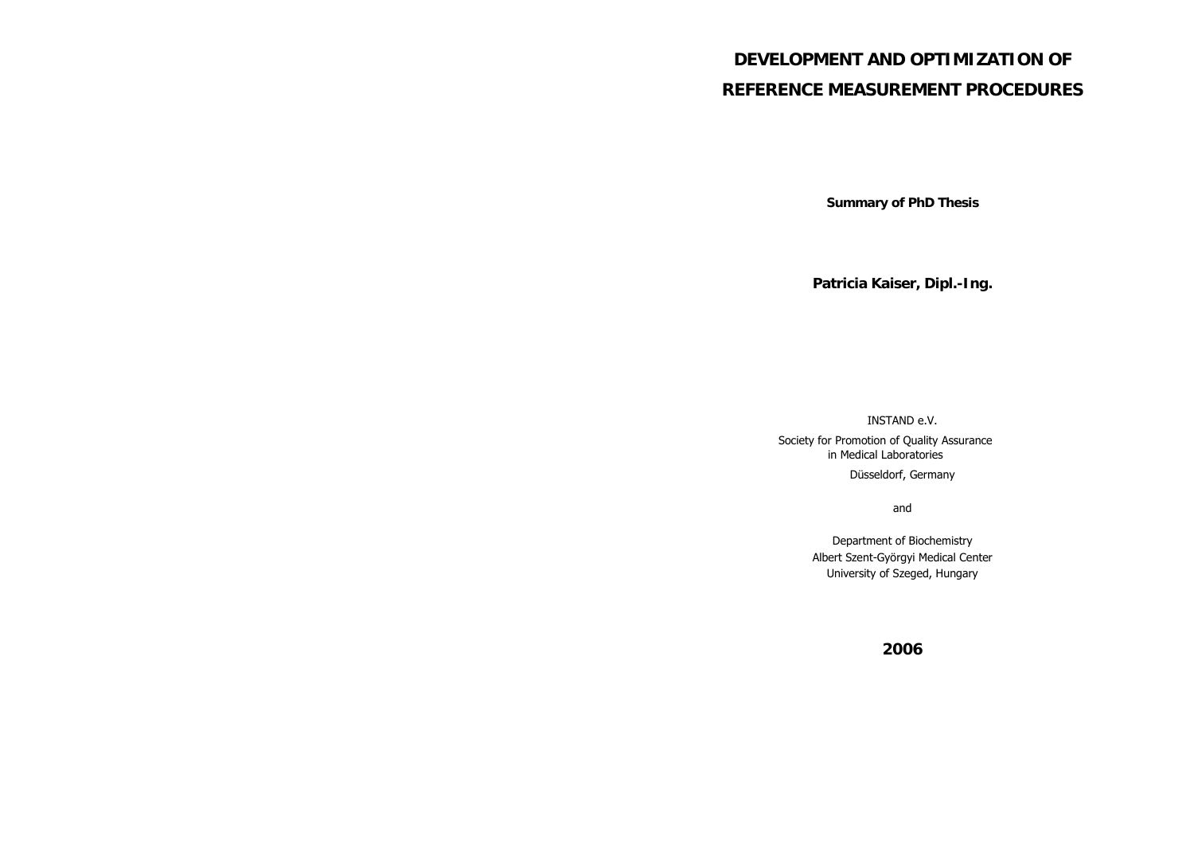# **DEVELOPMENT AND OPTIMIZATION OF REFERENCE MEASUREMENT PROCEDURES**

**Summary of PhD Thesis** 

**Patricia Kaiser, Dipl.-Ing.** 

INSTAND e.V.

Society for Promotion of Quality Assurance in Medical Laboratories

Düsseldorf, Germany

and

Department of Biochemistry Albert Szent-Györgyi Medical Center University of Szeged, Hungary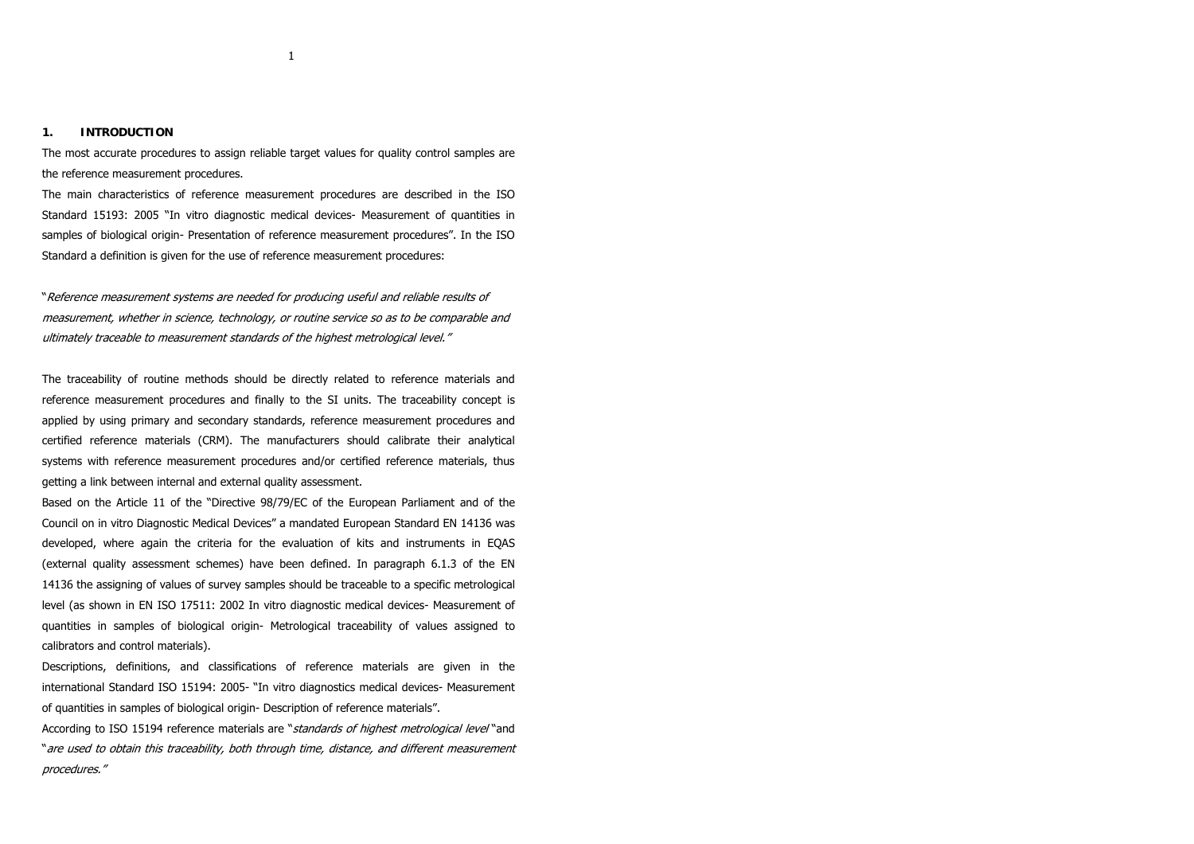The most accurate procedures to assign reliable target values for quality control samples are the reference measurement procedures.

The main characteristics of reference measurement procedures are described in the ISO Standard 15193: 2005 "In vitro diagnostic medical devices- Measurement of quantities in samples of biological origin- Presentation of reference measurement procedures". In the ISO Standard a definition is given for the use of reference measurement procedures:

"Reference measurement systems are needed for producing useful and reliable results of measurement, whether in science, technology, or routine service so as to be comparable and ultimately traceable to measurement standards of the highest metrological level."

The traceability of routine methods should be directly related to reference materials and reference measurement procedures and finally to the SI units. The traceability concept is applied by using primary and secondary standards, reference measurement procedures and certified reference materials (CRM). The manufacturers should calibrate their analytical systems with reference measurement procedures and/or certified reference materials, thus getting a link between internal and external quality assessment.

Based on the Article 11 of the "Directive 98/79/EC of the European Parliament and of the Council on in vitro Diagnostic Medical Devices" a mandated European Standard EN 14136 was developed, where again the criteria for the evaluation of kits and instruments in EQAS (external quality assessment schemes) have been defined. In paragraph 6.1.3 of the EN 14136 the assigning of values of survey samples should be traceable to a specific metrological level (as shown in EN ISO 17511: 2002 In vitro diagnostic medical devices- Measurement of quantities in samples of biological origin- Metrological traceability of values assigned to calibrators and control materials).

Descriptions, definitions, and classifications of reference materials are given in the international Standard ISO 15194: 2005- "In vitro diagnostics medical devices- Measurement of quantities in samples of biological origin- Description of reference materials".

According to ISO 15194 reference materials are "standards of highest metrological level "and "are used to obtain this traceability, both through time, distance, and different measurement procedures."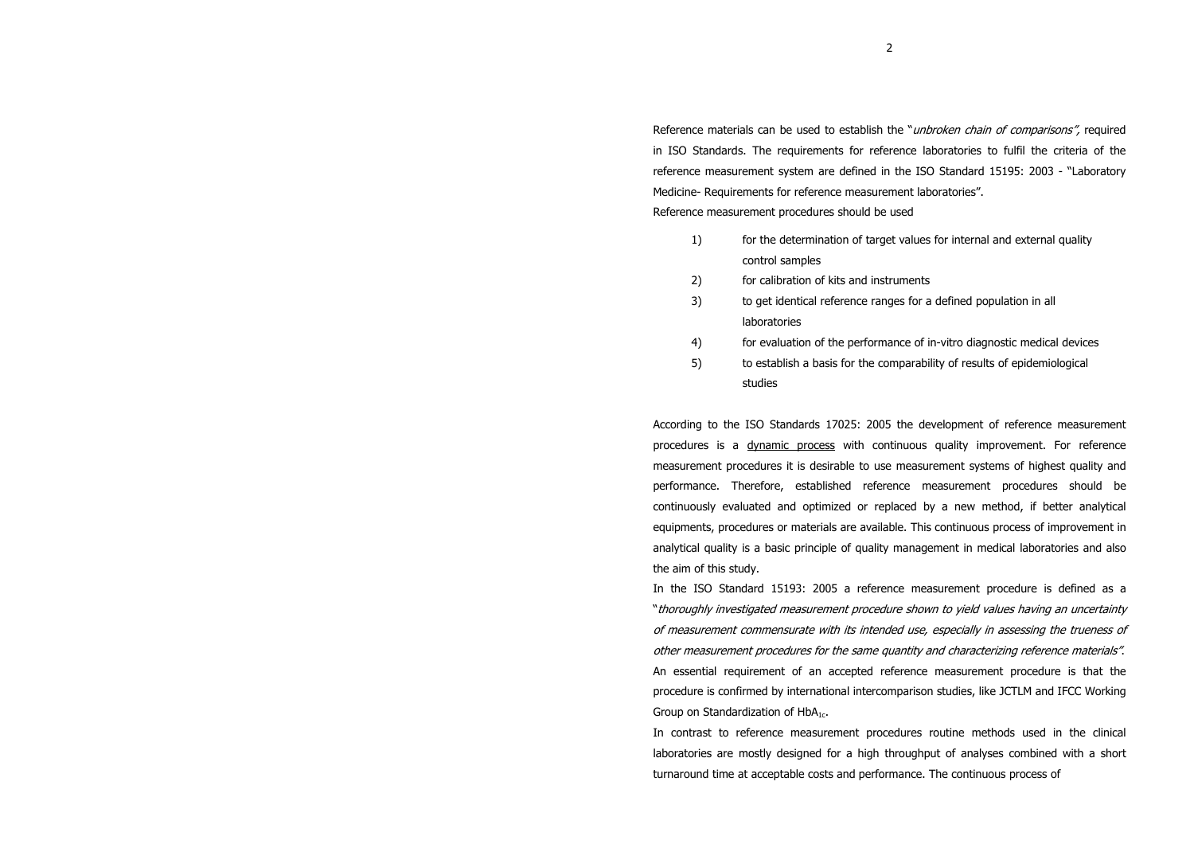Reference materials can be used to establish the "*unbroken chain of comparisons"*, required in ISO Standards. The requirements for reference laboratories to fulfil the criteria of the reference measurement system are defined in the ISO Standard 15195: 2003 - "Laboratory Medicine- Requirements for reference measurement laboratories".

Reference measurement procedures should be used

- 1) for the determination of target values for internal and external quality control samples
- 2) for calibration of kits and instruments
- 3) to get identical reference ranges for a defined population in all laboratories
- 4) for evaluation of the performance of in-vitro diagnostic medical devices
- 5) to establish a basis for the comparability of results of epidemiological studies

According to the ISO Standards 17025: 2005 the development of reference measurement procedures is a dynamic process with continuous quality improvement. For reference measurement procedures it is desirable to use measurement systems of highest quality and performance. Therefore, established reference measurement procedures should be continuously evaluated and optimized or replaced by a new method, if better analytical equipments, procedures or materials are available. This continuous process of improvement in analytical quality is a basic principle of quality management in medical laboratories and also the aim of this study.

In the ISO Standard 15193: 2005 a reference measurement procedure is defined as a "thoroughly investigated measurement procedure shown to yield values having an uncertainty of measurement commensurate with its intended use, especially in assessing the trueness of other measurement procedures for the same quantity and characterizing reference materials". An essential requirement of an accepted reference measurement procedure is that the procedure is confirmed by international intercomparison studies, like JCTLM and IFCC Working Group on Standardization of HbA<sub>1c</sub>.

In contrast to reference measurement procedures routine methods used in the clinical laboratories are mostly designed for a high throughput of analyses combined with a short turnaround time at acceptable costs and performance. The continuous process of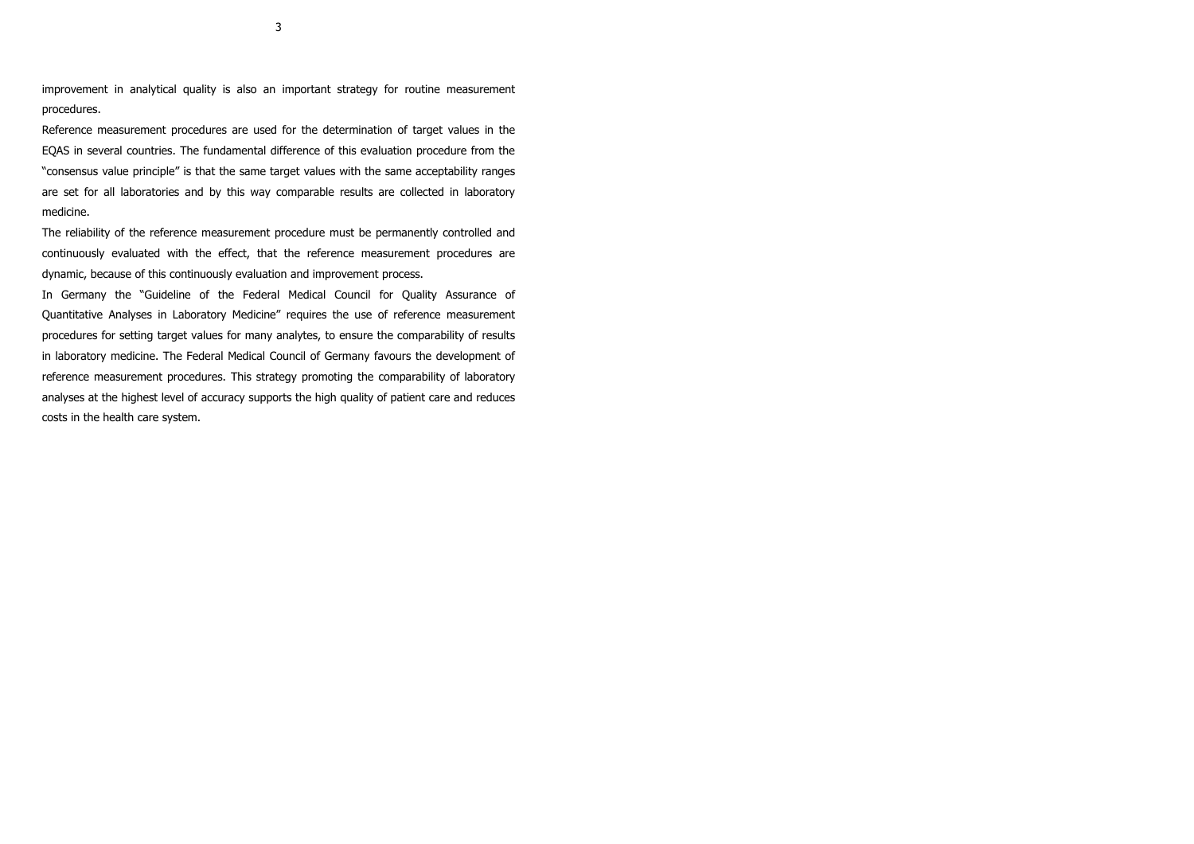improvement in analytical quality is also an important strategy for routine measurement procedures.

Reference measurement procedures are used for the determination of target values in the EQAS in several countries. The fundamental difference of this evaluation procedure from the "consensus value principle" is that the same target values with the same acceptability ranges are set for all laboratories and by this way comparable results are collected in laboratory medicine.

The reliability of the reference measurement procedure must be permanently controlled and continuously evaluated with the effect, that the reference measurement procedures are dynamic, because of this continuously evaluation and improvement process.

In Germany the "Guideline of the Federal Medical Council for Quality Assurance of Quantitative Analyses in Laboratory Medicine" requires the use of reference measurement procedures for setting target values for many analytes, to ensure the comparability of results in laboratory medicine. The Federal Medical Council of Germany favours the development of reference measurement procedures. This strategy promoting the comparability of laboratory analyses at the highest level of accuracy supports the high quality of patient care and reduces costs in the health care system.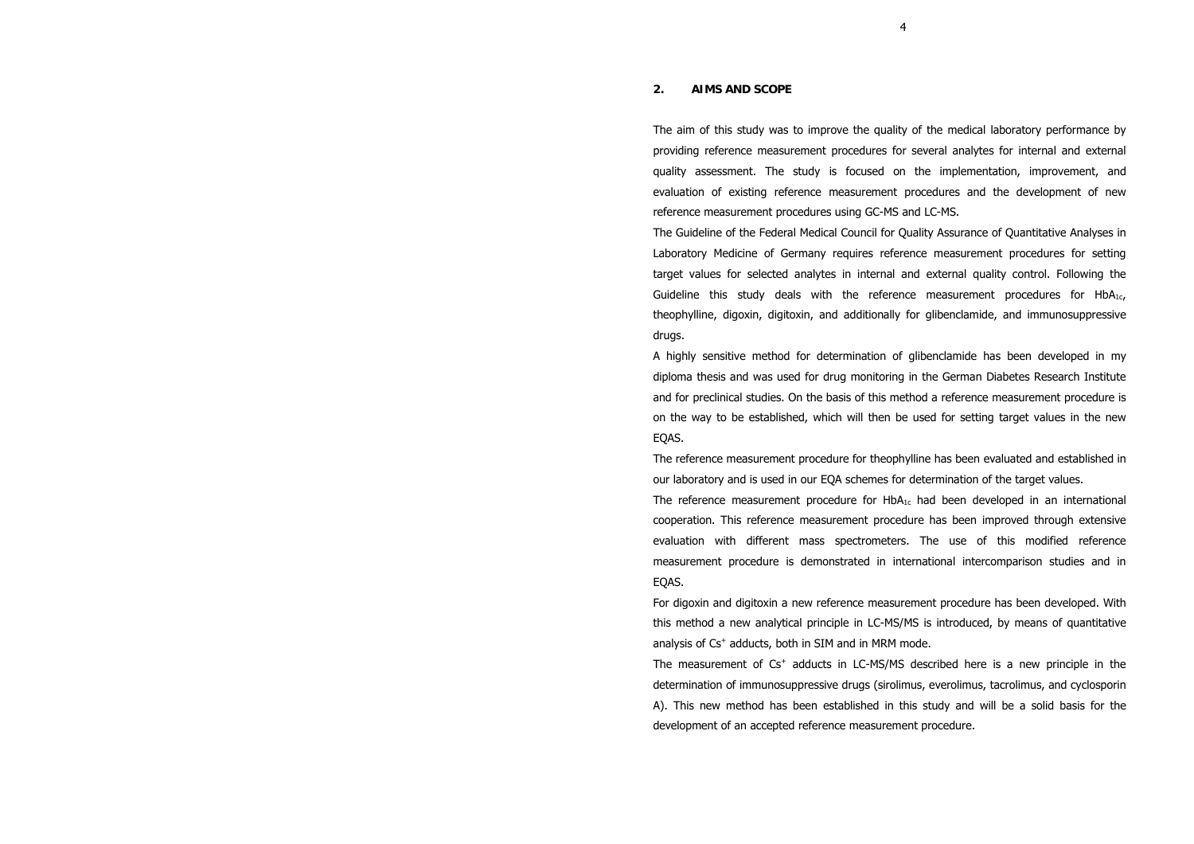# **2. AIMS AND SCOPE**

The aim of this study was to improve the quality of the medical laboratory performance by providing reference measurement procedures for several analytes for internal and external quality assessment. The study is focused on the implementation, improvement, and evaluation of existing reference measurement procedures and the development of new reference measurement procedures using GC-MS and LC-MS.

The Guideline of the Federal Medical Council for Quality Assurance of Quantitative Analyses in Laboratory Medicine of Germany requires reference measurement procedures for setting target values for selected analytes in internal and external quality control. Following the Guideline this study deals with the reference measurement procedures for HbA<sub>1c</sub>, theophylline, digoxin, digitoxin, and additionally for glibenclamide, and immunosuppressive drugs.

A highly sensitive method for determination of glibenclamide has been developed in my diploma thesis and was used for drug monitoring in the German Diabetes Research Institute and for preclinical studies. On the basis of this method a reference measurement procedure is on the way to be established, which will then be used for setting target values in the new EQAS.

The reference measurement procedure for theophylline has been evaluated and established in our laboratory and is used in our EQA schemes for determination of the target values.

The reference measurement procedure for  $HbA_{1c}$  had been developed in an international cooperation. This reference measurement procedure has been improved through extensive evaluation with different mass spectrometers. The use of this modified reference measurement procedure is demonstrated in international intercomparison studies and in EQAS.

For digoxin and digitoxin a new reference measurement procedure has been developed. With this method a new analytical principle in LC-MS/MS is introduced, by means of quantitative analysis of Cs<sup>+</sup> adducts, both in SIM and in MRM mode.

The measurement of  $Cs^{+}$  adducts in LC-MS/MS described here is a new principle in the determination of immunosuppressive drugs (sirolimus, everolimus, tacrolimus, and cyclosporin A). This new method has been established in this study and will be a solid basis for the development of an accepted reference measurement procedure.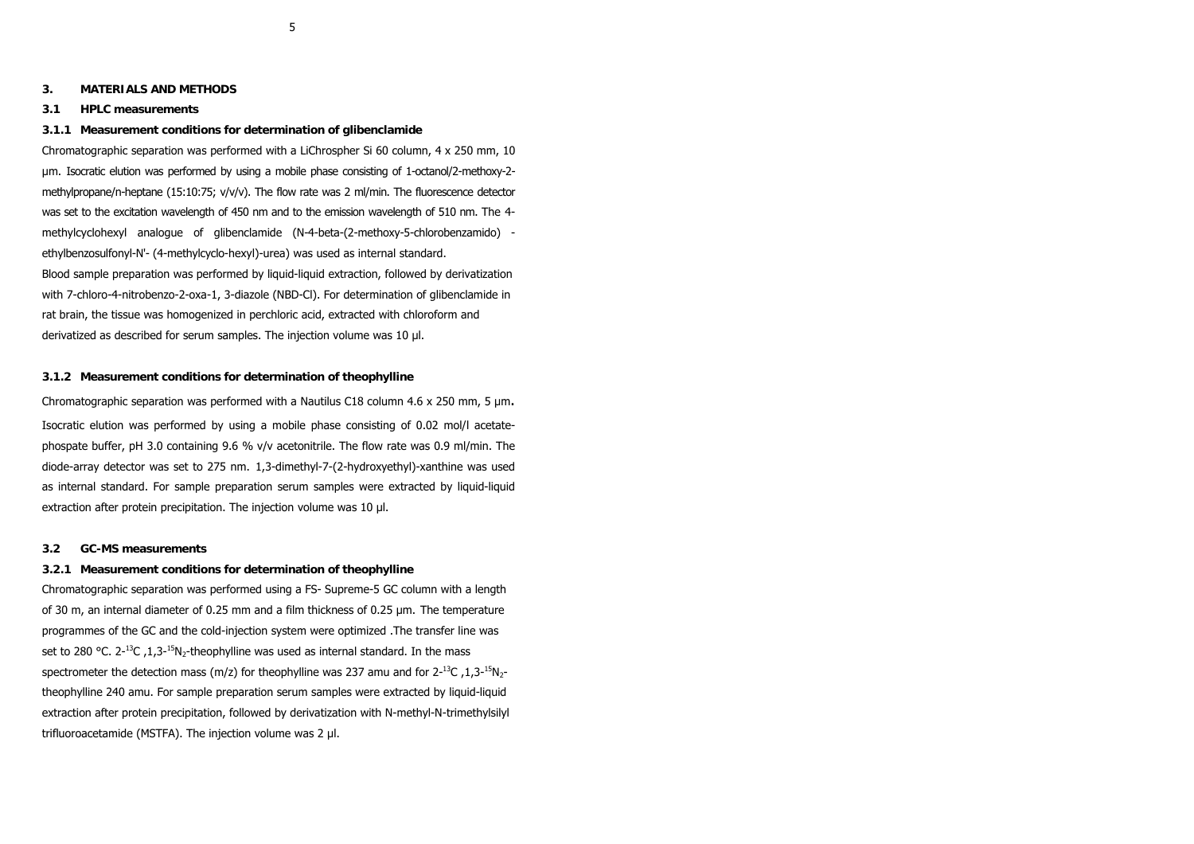**3. MATERIALS AND METHODS**

# **3.1 HPLC measurements**

## **3.1.1 Measurement conditions for determination of glibenclamide**

Chromatographic separation was performed with a LiChrospher Si 60 column, 4 x 250 mm, 10 µm. Isocratic elution was performed by using a mobile phase consisting of 1-octanol/2-methoxy-2 methylpropane/n-heptane (15:10:75; v/v/v). The flow rate was 2 ml/min. The fluorescence detector was set to the excitation wavelength of 450 nm and to the emission wavelength of 510 nm. The 4 methylcyclohexyl analogue of glibenclamide (N-4-beta-(2-methoxy-5-chlorobenzamido) ethylbenzosulfonyl-N'- (4-methylcyclo-hexyl)-urea) was used as internal standard. Blood sample preparation was performed by liquid-liquid extraction, followed by derivatization with 7-chloro-4-nitrobenzo-2-oxa-1, 3-diazole (NBD-Cl). For determination of glibenclamide in rat brain, the tissue was homogenized in perchloric acid, extracted with chloroform and derivatized as described for serum samples. The injection volume was 10 µl.

#### **3.1.2 Measurement conditions for determination of theophylline**

Chromatographic separation was performed with a Nautilus C18 column 4.6 x 250 mm, 5  $\mu$ m. Isocratic elution was performed by using a mobile phase consisting of 0.02 mol/l acetatephospate buffer, pH 3.0 containing 9.6 % v/v acetonitrile. The flow rate was 0.9 ml/min. The diode-array detector was set to 275 nm. 1,3-dimethyl-7-(2-hydroxyethyl)-xanthine was used as internal standard. For sample preparation serum samples were extracted by liquid-liquid extraction after protein precipitation. The injection volume was 10 µl.

# **3.2 GC-MS measurements**

#### **3.2.1 Measurement conditions for determination of theophylline**

Chromatographic separation was performed using a FS- Supreme-5 GC column with a length of 30 m, an internal diameter of 0.25 mm and a film thickness of 0.25 µm. The temperature programmes of the GC and the cold-injection system were optimized .The transfer line was set to 280 °C.  $2^{-13}C$ , 1,  $3^{-15}N$ -theophylline was used as internal standard. In the mass spectrometer the detection mass (m/z) for theophylline was 237 amu and for  $2^{-13}C$ , 1,3- $^{15}N_{2}$ theophylline 240 amu. For sample preparation serum samples were extracted by liquid-liquid extraction after protein precipitation, followed by derivatization with N-methyl-N-trimethylsilyl trifluoroacetamide (MSTFA). The injection volume was 2 µl.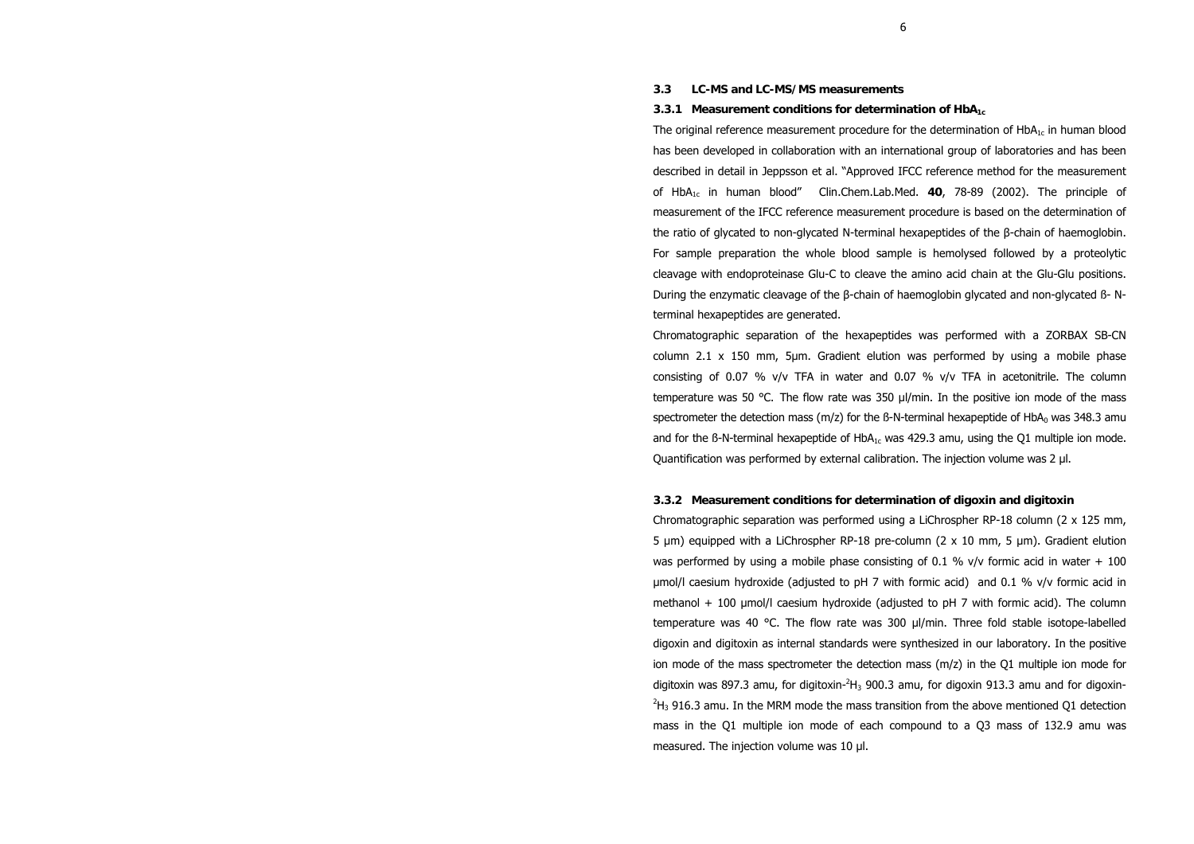## **3.3 LC-MS and LC-MS/MS measurements**

## **3.3.1 Measurement conditions for determination of HbA1c**

The original reference measurement procedure for the determination of  $HbA_{1c}$  in human blood has been developed in collaboration with an international group of laboratories and has been described in detail in Jeppsson et al. "Approved IFCC reference method for the measurement of HbA1c in human blood" Clin.Chem.Lab.Med. **40**, 78-89 (2002). The principle of measurement of the IFCC reference measurement procedure is based on the determination of the ratio of glycated to non-glycated N-terminal hexapeptides of the β-chain of haemoglobin. For sample preparation the whole blood sample is hemolysed followed by a proteolytic cleavage with endoproteinase Glu-C to cleave the amino acid chain at the Glu-Glu positions. During the enzymatic cleavage of the β-chain of haemoglobin glycated and non-glycated ß- Nterminal hexapeptides are generated.

Chromatographic separation of the hexapeptides was performed with a ZORBAX SB-CN column 2.1  $\times$  150 mm, 5µm. Gradient elution was performed by using a mobile phase consisting of 0.07 % v/v TFA in water and 0.07 % v/v TFA in acetonitrile. The column temperature was 50 °C. The flow rate was 350  $\mu$ /min. In the positive ion mode of the mass spectrometer the detection mass (m/z) for the B-N-terminal hexapeptide of  $HbA<sub>0</sub>$  was 348.3 amu and for the B-N-terminal hexapeptide of  $HDA<sub>1c</sub>$  was 429.3 amu, using the Q1 multiple ion mode. Quantification was performed by external calibration. The injection volume was 2 µl.

# **3.3.2 Measurement conditions for determination of digoxin and digitoxin**

Chromatographic separation was performed using a LiChrospher RP-18 column (2 x 125 mm, 5 µm) equipped with a LiChrospher RP-18 pre-column (2 x 10 mm, 5 µm). Gradient elution was performed by using a mobile phase consisting of 0.1 %  $v/v$  formic acid in water + 100 µmol/l caesium hydroxide (adjusted to pH 7 with formic acid) and 0.1 % v/v formic acid in methanol + 100 µmol/l caesium hydroxide (adjusted to pH 7 with formic acid). The column temperature was 40 °C. The flow rate was 300 µl/min. Three fold stable isotope-labelled digoxin and digitoxin as internal standards were synthesized in our laboratory. In the positive ion mode of the mass spectrometer the detection mass (m/z) in the Q1 multiple ion mode for digitoxin was 897.3 amu, for digitoxin- $^2\!H_3$  900.3 amu, for digoxin 913.3 amu and for digoxin- $^{2}$ H<sub>3</sub> 916.3 amu. In the MRM mode the mass transition from the above mentioned Q1 detection mass in the Q1 multiple ion mode of each compound to a Q3 mass of 132.9 amu was measured. The injection volume was 10 µl.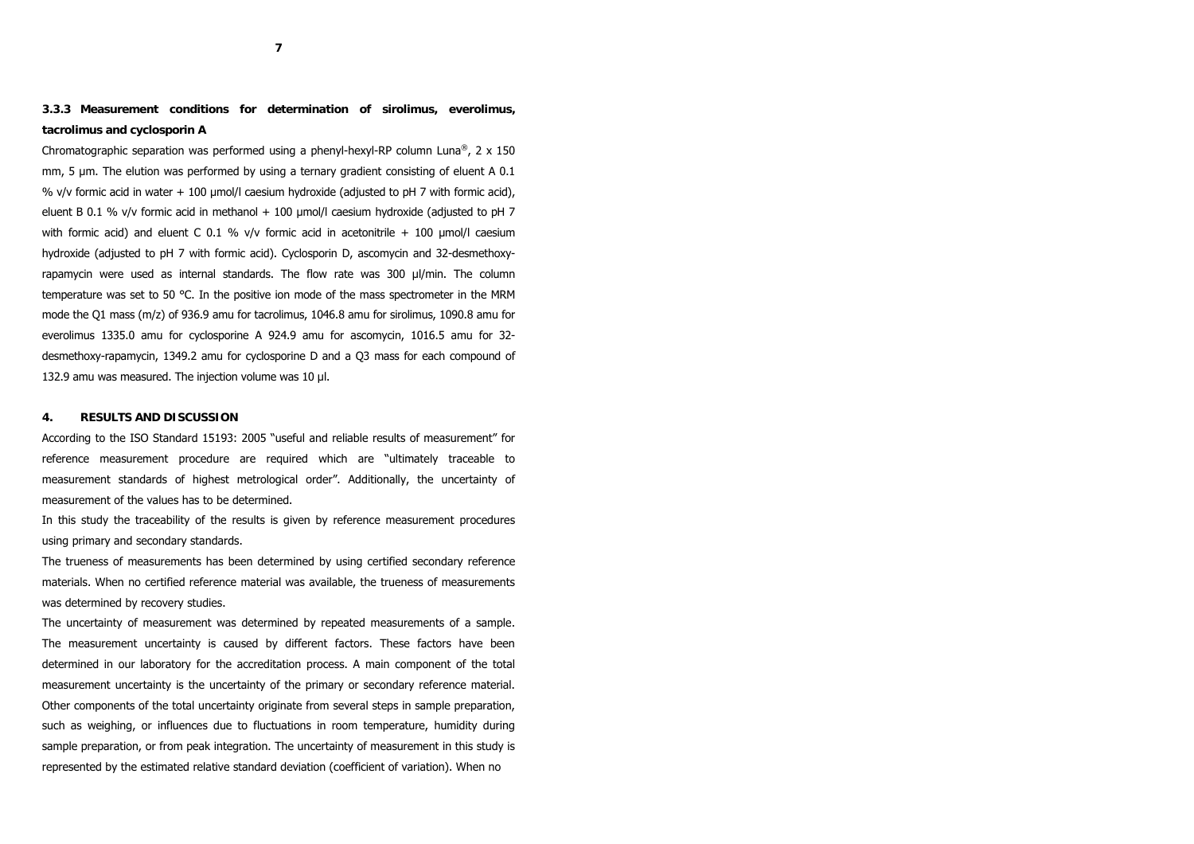**3.3.3 Measurement conditions for determination of sirolimus, everolimus, tacrolimus and cyclosporin A**

Chromatographic separation was performed using a phenyl-hexyl-RP column Luna<sup>®</sup>, 2 x 150 mm, 5 µm. The elution was performed by using a ternary gradient consisting of eluent A 0.1 % v/v formic acid in water  $+$  100 µmol/l caesium hydroxide (adjusted to pH 7 with formic acid), eluent B 0.1 % v/v formic acid in methanol  $+$  100  $\mu$ mol/l caesium hydroxide (adjusted to pH 7 with formic acid) and eluent C 0.1 %  $v/v$  formic acid in acetonitrile + 100  $\mu$ mol/l caesium hydroxide (adjusted to pH 7 with formic acid). Cyclosporin D, ascomycin and 32-desmethoxyrapamycin were used as internal standards. The flow rate was 300 µl/min. The column temperature was set to 50 °C. In the positive ion mode of the mass spectrometer in the MRM mode the Q1 mass (m/z) of 936.9 amu for tacrolimus, 1046.8 amu for sirolimus, 1090.8 amu for everolimus 1335.0 amu for cyclosporine A 924.9 amu for ascomycin, 1016.5 amu for 32 desmethoxy-rapamycin, 1349.2 amu for cyclosporine D and a Q3 mass for each compound of 132.9 amu was measured. The injection volume was 10 µl.

# **4. RESULTS AND DISCUSSION**

According to the ISO Standard 15193: 2005 "useful and reliable results of measurement" for reference measurement procedure are required which are "ultimately traceable to measurement standards of highest metrological order". Additionally, the uncertainty of measurement of the values has to be determined.

In this study the traceability of the results is given by reference measurement procedures using primary and secondary standards.

The trueness of measurements has been determined by using certified secondary reference materials. When no certified reference material was available, the trueness of measurements was determined by recovery studies.

The uncertainty of measurement was determined by repeated measurements of a sample. The measurement uncertainty is caused by different factors. These factors have been determined in our laboratory for the accreditation process. A main component of the total measurement uncertainty is the uncertainty of the primary or secondary reference material. Other components of the total uncertainty originate from several steps in sample preparation, such as weighing, or influences due to fluctuations in room temperature, humidity during sample preparation, or from peak integration. The uncertainty of measurement in this study is represented by the estimated relative standard deviation (coefficient of variation). When no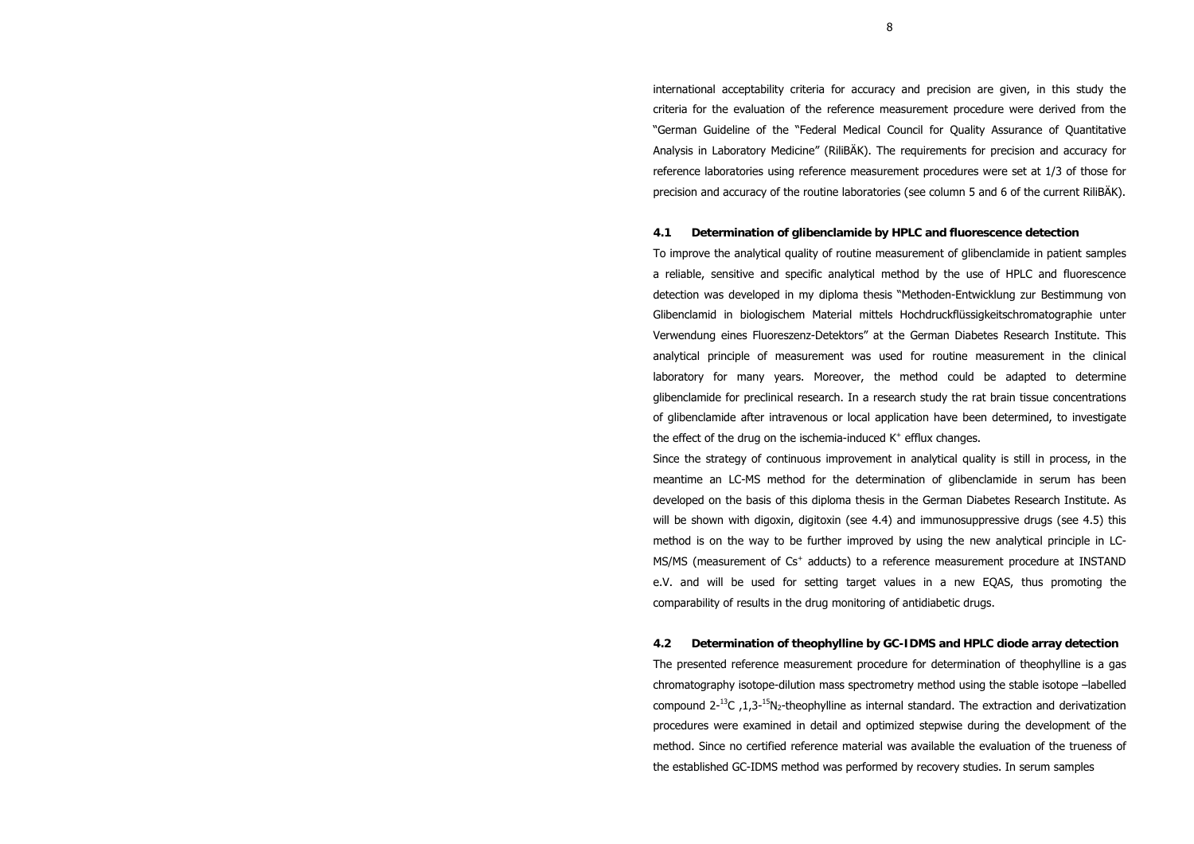international acceptability criteria for accuracy and precision are given, in this study the criteria for the evaluation of the reference measurement procedure were derived from the "German Guideline of the "Federal Medical Council for Quality Assurance of Quantitative Analysis in Laboratory Medicine" (RiliBÄK). The requirements for precision and accuracy for reference laboratories using reference measurement procedures were set at 1/3 of those for precision and accuracy of the routine laboratories (see column 5 and 6 of the current RiliBÄK).

## **4.1 Determination of glibenclamide by HPLC and fluorescence detection**

To improve the analytical quality of routine measurement of glibenclamide in patient samples a reliable, sensitive and specific analytical method by the use of HPLC and fluorescence detection was developed in my diploma thesis "Methoden-Entwicklung zur Bestimmung von Glibenclamid in biologischem Material mittels Hochdruckflüssigkeitschromatographie unter Verwendung eines Fluoreszenz-Detektors" at the German Diabetes Research Institute. This analytical principle of measurement was used for routine measurement in the clinical laboratory for many years. Moreover, the method could be adapted to determine glibenclamide for preclinical research. In a research study the rat brain tissue concentrations of glibenclamide after intravenous or local application have been determined, to investigate the effect of the drug on the ischemia-induced  $K^+$  efflux changes.

Since the strategy of continuous improvement in analytical quality is still in process, in the meantime an LC-MS method for the determination of glibenclamide in serum has been developed on the basis of this diploma thesis in the German Diabetes Research Institute. As will be shown with digoxin, digitoxin (see 4.4) and immunosuppressive drugs (see 4.5) this method is on the way to be further improved by using the new analytical principle in LC-MS/MS (measurement of  $Cs<sup>+</sup>$  adducts) to a reference measurement procedure at INSTAND e.V. and will be used for setting target values in a new EQAS, thus promoting the comparability of results in the drug monitoring of antidiabetic drugs.

**4.2 Determination of theophylline by GC-IDMS and HPLC diode array detection** The presented reference measurement procedure for determination of theophylline is a gas chromatography isotope-dilution mass spectrometry method using the stable isotope –labelled compound  $2^{-13}C$ , 1,3-<sup>15</sup>N<sub>2</sub>-theophylline as internal standard. The extraction and derivatization procedures were examined in detail and optimized stepwise during the development of the method. Since no certified reference material was available the evaluation of the trueness of the established GC-IDMS method was performed by recovery studies. In serum samples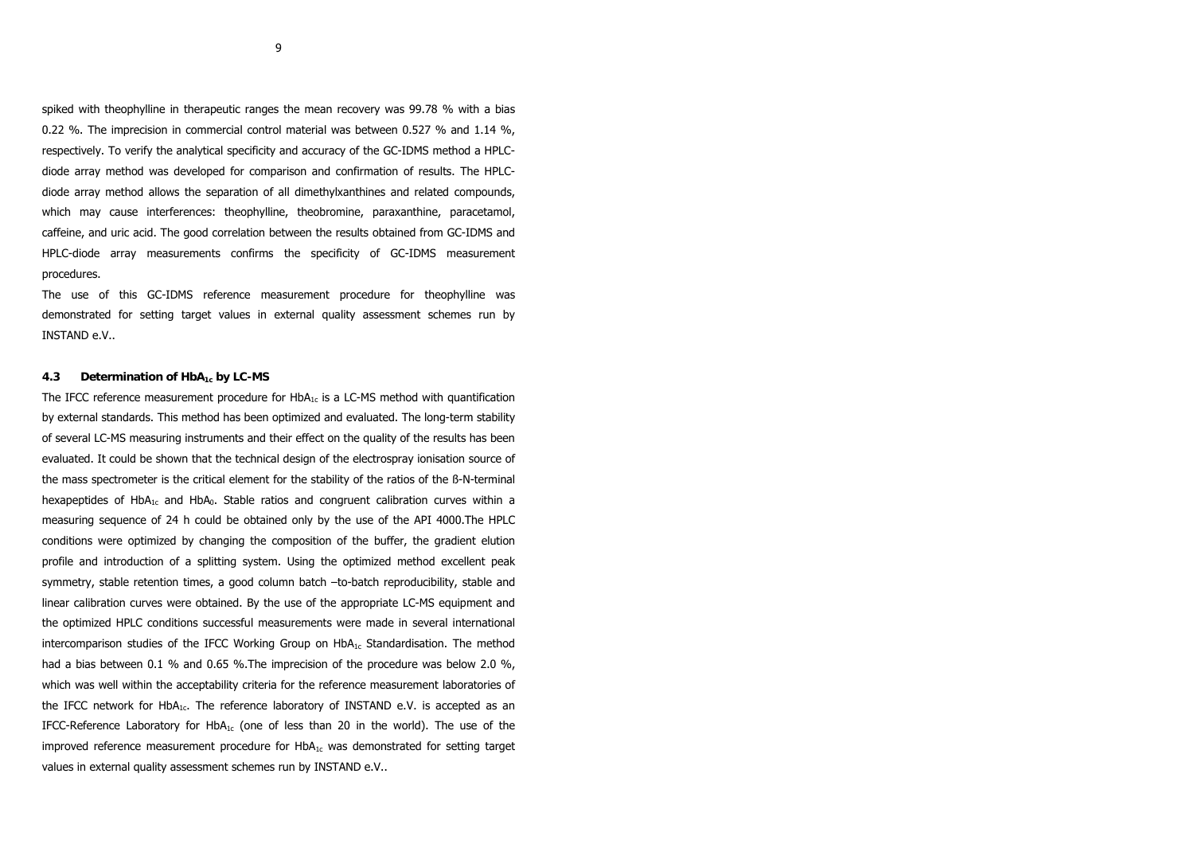spiked with theophylline in therapeutic ranges the mean recovery was 99.78 % with a bias 0.22 %. The imprecision in commercial control material was between 0.527 % and 1.14 %, respectively. To verify the analytical specificity and accuracy of the GC-IDMS method a HPLCdiode array method was developed for comparison and confirmation of results. The HPLCdiode array method allows the separation of all dimethylxanthines and related compounds, which may cause interferences: theophylline, theobromine, paraxanthine, paracetamol, caffeine, and uric acid. The good correlation between the results obtained from GC-IDMS and HPLC-diode array measurements confirms the specificity of GC-IDMS measurement procedures.

The use of this GC-IDMS reference measurement procedure for theophylline was demonstrated for setting target values in external quality assessment schemes run by INSTAND e.V..

# **4.3 Determination of HbA1c by LC-MS**

The IFCC reference measurement procedure for  $HbA<sub>1c</sub>$  is a LC-MS method with quantification by external standards. This method has been optimized and evaluated. The long-term stability of several LC-MS measuring instruments and their effect on the quality of the results has been evaluated. It could be shown that the technical design of the electrospray ionisation source of the mass spectrometer is the critical element for the stability of the ratios of the ß-N-terminal hexapeptides of HbA<sub>1c</sub> and HbA<sub>0</sub>. Stable ratios and congruent calibration curves within a measuring sequence of 24 h could be obtained only by the use of the API 4000.The HPLC conditions were optimized by changing the composition of the buffer, the gradient elution profile and introduction of a splitting system. Using the optimized method excellent peak symmetry, stable retention times, a good column batch –to-batch reproducibility, stable and linear calibration curves were obtained. By the use of the appropriate LC-MS equipment and the optimized HPLC conditions successful measurements were made in several international intercomparison studies of the IFCC Working Group on  $HDA<sub>1c</sub>$  Standardisation. The method had a bias between 0.1 % and 0.65 %. The imprecision of the procedure was below 2.0 %, which was well within the acceptability criteria for the reference measurement laboratories of the IFCC network for  $HbA_{1c}$ . The reference laboratory of INSTAND e.V. is accepted as an IFCC-Reference Laboratory for  $HbA_{1c}$  (one of less than 20 in the world). The use of the improved reference measurement procedure for  $HbA_{1c}$  was demonstrated for setting target values in external quality assessment schemes run by INSTAND e.V..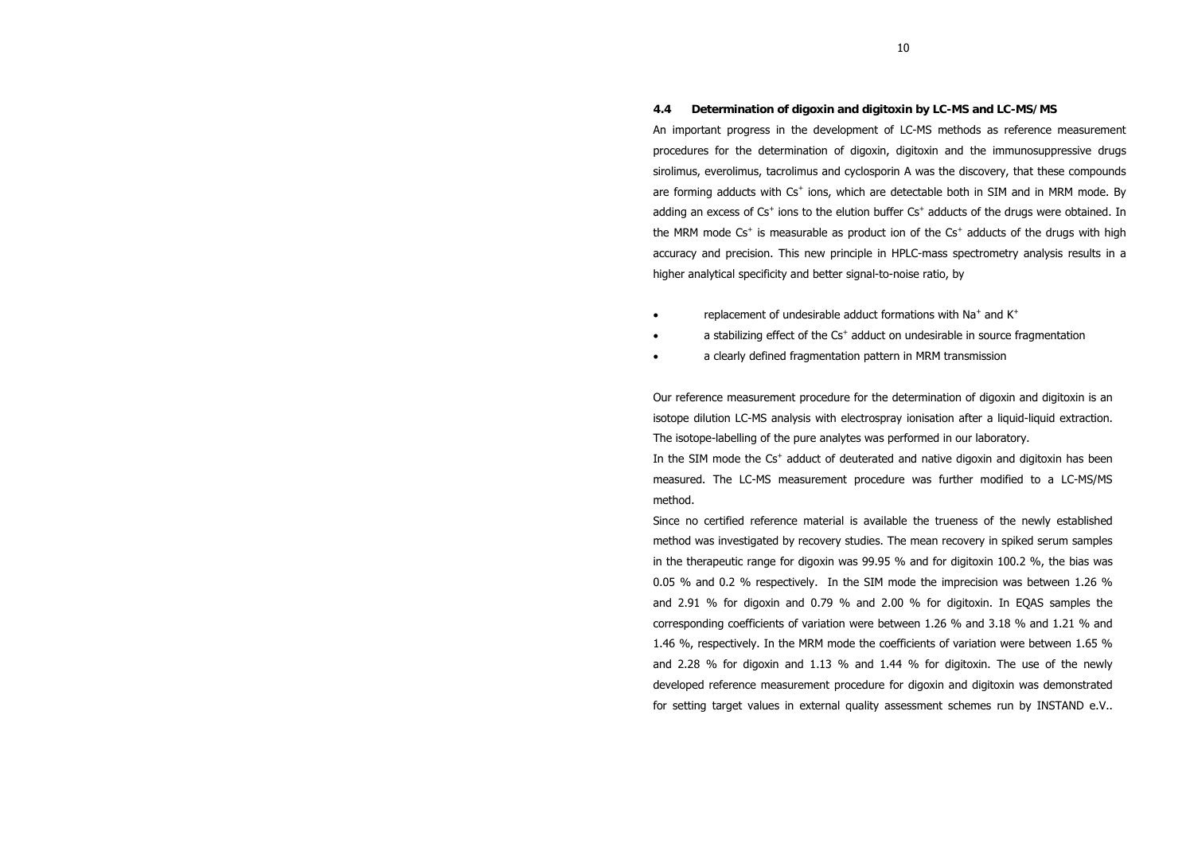# **4.4 Determination of digoxin and digitoxin by LC-MS and LC-MS/MS**

An important progress in the development of LC-MS methods as reference measurement procedures for the determination of digoxin, digitoxin and the immunosuppressive drugs sirolimus, everolimus, tacrolimus and cyclosporin A was the discovery, that these compounds are forming adducts with  $Cs<sup>+</sup>$  ions, which are detectable both in SIM and in MRM mode. By adding an excess of  $Cs^+$  ions to the elution buffer  $Cs^+$  adducts of the drugs were obtained. In the MRM mode  $Cs<sup>+</sup>$  is measurable as product ion of the  $Cs<sup>+</sup>$  adducts of the drugs with high accuracy and precision. This new principle in HPLC-mass spectrometry analysis results in a higher analytical specificity and better signal-to-noise ratio, by

- •replacement of undesirable adduct formations with Na<sup>+</sup> and K<sup>+</sup>
- •a stabilizing effect of the Cs<sup>+</sup> adduct on undesirable in source fragmentation
- •a clearly defined fragmentation pattern in MRM transmission

Our reference measurement procedure for the determination of digoxin and digitoxin is an isotope dilution LC-MS analysis with electrospray ionisation after a liquid-liquid extraction. The isotope-labelling of the pure analytes was performed in our laboratory.

In the SIM mode the  $Cs<sup>+</sup>$  adduct of deuterated and native digoxin and digitoxin has been measured. The LC-MS measurement procedure was further modified to a LC-MS/MS method.

Since no certified reference material is available the trueness of the newly established method was investigated by recovery studies. The mean recovery in spiked serum samples in the therapeutic range for digoxin was 99.95 % and for digitoxin 100.2 %, the bias was 0.05 % and 0.2 % respectively. In the SIM mode the imprecision was between 1.26 % and 2.91 % for digoxin and 0.79 % and 2.00 % for digitoxin. In EQAS samples the corresponding coefficients of variation were between 1.26 % and 3.18 % and 1.21 % and 1.46 %, respectively. In the MRM mode the coefficients of variation were between 1.65 % and 2.28 % for digoxin and 1.13 % and 1.44 % for digitoxin. The use of the newly developed reference measurement procedure for digoxin and digitoxin was demonstrated for setting target values in external quality assessment schemes run by INSTAND e.V..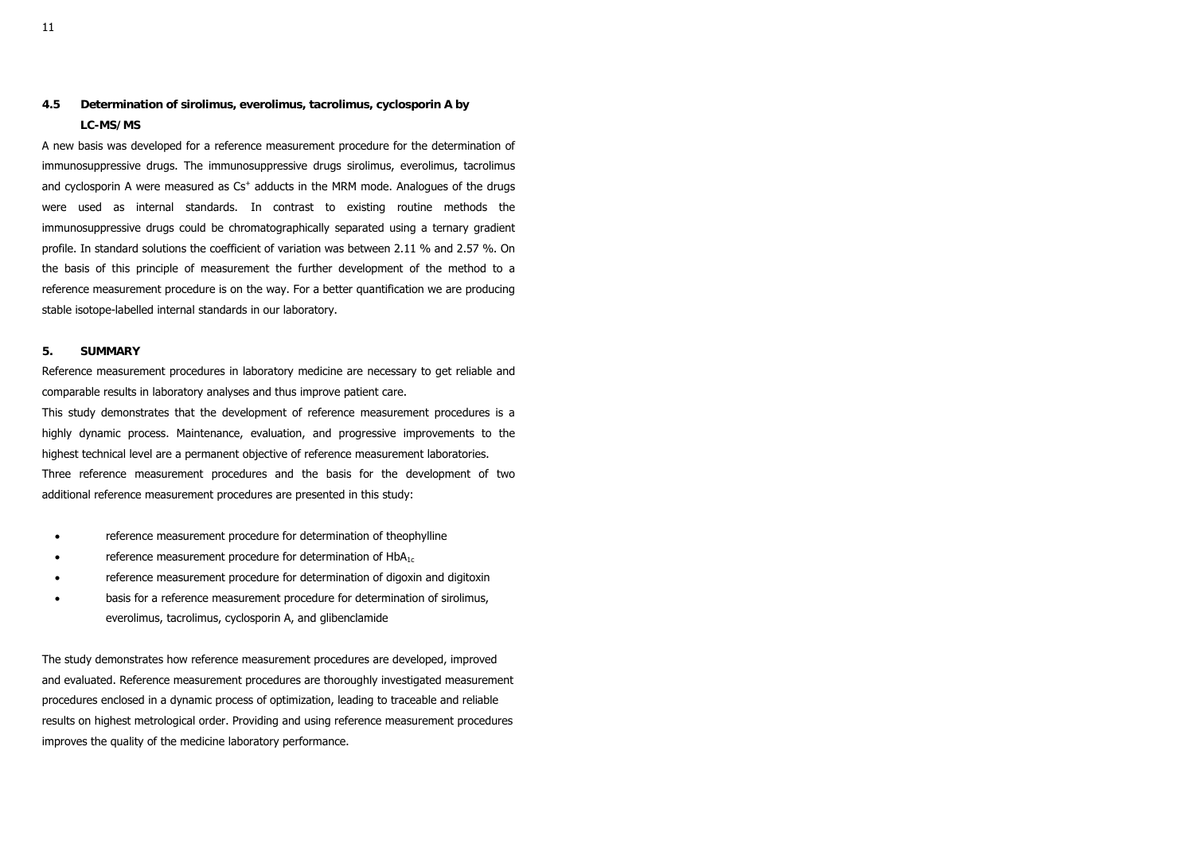# **4.5 Determination of sirolimus, everolimus, tacrolimus, cyclosporin A by LC-MS/MS**

A new basis was developed for a reference measurement procedure for the determination of immunosuppressive drugs. The immunosuppressive drugs sirolimus, everolimus, tacrolimus and cyclosporin A were measured as Cs<sup>+</sup> adducts in the MRM mode. Analogues of the drugs were used as internal standards. In contrast to existing routine methods the immunosuppressive drugs could be chromatographically separated using a ternary gradient profile. In standard solutions the coefficient of variation was between 2.11 % and 2.57 %. On the basis of this principle of measurement the further development of the method to a reference measurement procedure is on the way. For a better quantification we are producing stable isotope-labelled internal standards in our laboratory.

# **5. SUMMARY**

Reference measurement procedures in laboratory medicine are necessary to get reliable and comparable results in laboratory analyses and thus improve patient care. This study demonstrates that the development of reference measurement procedures is a highly dynamic process. Maintenance, evaluation, and progressive improvements to the highest technical level are a permanent objective of reference measurement laboratories. Three reference measurement procedures and the basis for the development of two additional reference measurement procedures are presented in this study:

- •reference measurement procedure for determination of theophylline
- •reference measurement procedure for determination of  $HbA_{1c}$
- •reference measurement procedure for determination of digoxin and digitoxin
- • basis for a reference measurement procedure for determination of sirolimus, everolimus, tacrolimus, cyclosporin A, and glibenclamide

The study demonstrates how reference measurement procedures are developed, improved and evaluated. Reference measurement procedures are thoroughly investigated measurement procedures enclosed in a dynamic process of optimization, leading to traceable and reliable results on highest metrological order. Providing and using reference measurement procedures improves the quality of the medicine laboratory performance.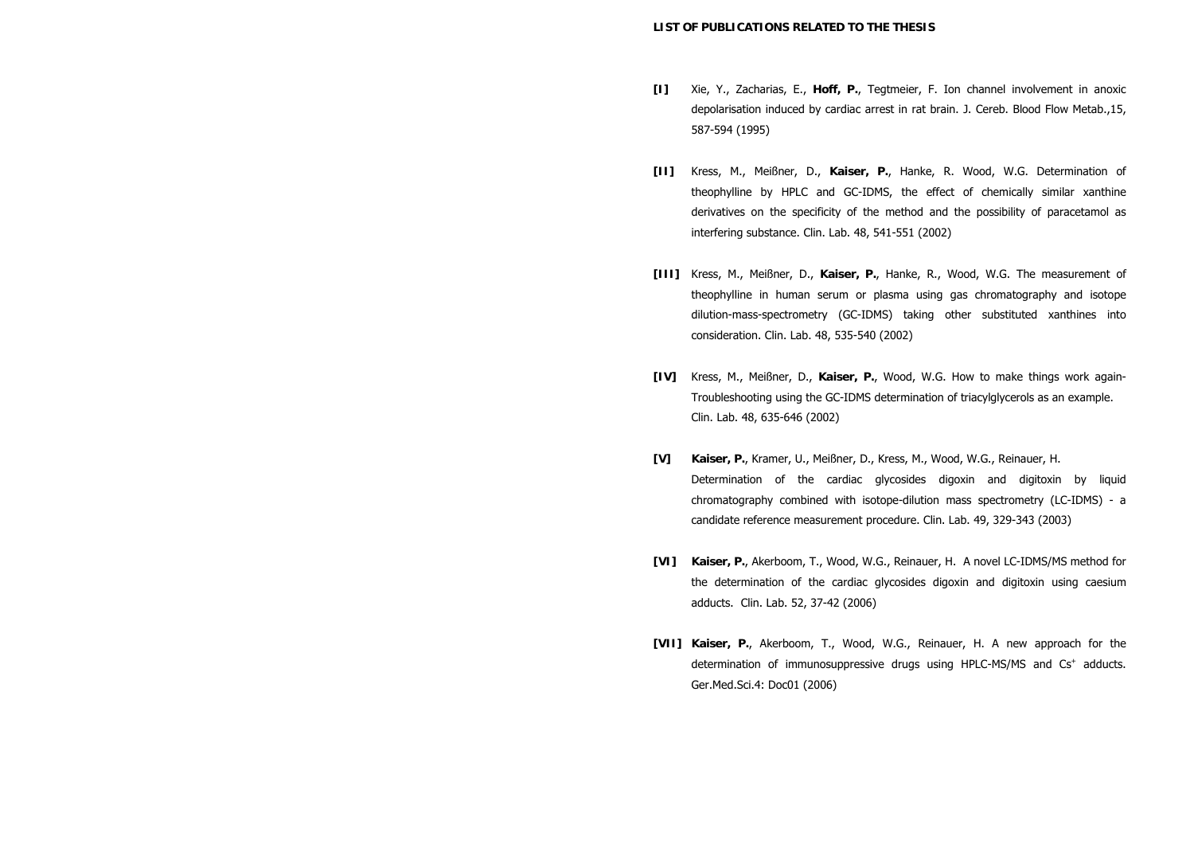- **[I]** Xie, Y., Zacharias, E., **Hoff, P.**, Tegtmeier, F. Ion channel involvement in anoxic depolarisation induced by cardiac arrest in rat brain. J. Cereb. Blood Flow Metab.,15, 587-594 (1995)
- **[II]** Kress, M., Meißner, D., **Kaiser, P.**, Hanke, R. Wood, W.G. Determination of theophylline by HPLC and GC-IDMS, the effect of chemically similar xanthine derivatives on the specificity of the method and the possibility of paracetamol as interfering substance. Clin. Lab. 48, 541-551 (2002)
- **[III]** Kress, M., Meißner, D., **Kaiser, P.**, Hanke, R., Wood, W.G. The measurement of theophylline in human serum or plasma using gas chromatography and isotope dilution-mass-spectrometry (GC-IDMS) taking other substituted xanthines into consideration. Clin. Lab. 48, 535-540 (2002)
- **[IV]** Kress, M., Meißner, D., **Kaiser, P.**, Wood, W.G. How to make things work again-Troubleshooting using the GC-IDMS determination of triacylglycerols as an example. Clin. Lab. 48, 635-646 (2002)
- **[V] Kaiser, P.**, Kramer, U., Meißner, D., Kress, M., Wood, W.G., Reinauer, H. Determination of the cardiac glycosides digoxin and digitoxin by liquid chromatography combined with isotope-dilution mass spectrometry (LC-IDMS) - a candidate reference measurement procedure. Clin. Lab. 49, 329-343 (2003)
- **[VI] Kaiser, P.**, Akerboom, T., Wood, W.G., Reinauer, H. A novel LC-IDMS/MS method for the determination of the cardiac glycosides digoxin and digitoxin using caesium adducts. Clin. Lab. 52, 37-42 (2006)
- **[VII] Kaiser, P.**, Akerboom, T., Wood, W.G., Reinauer, H. A new approach for the determination of immunosuppressive drugs using HPLC-MS/MS and Cs<sup>+</sup> adducts. Ger.Med.Sci.4: Doc01 (2006)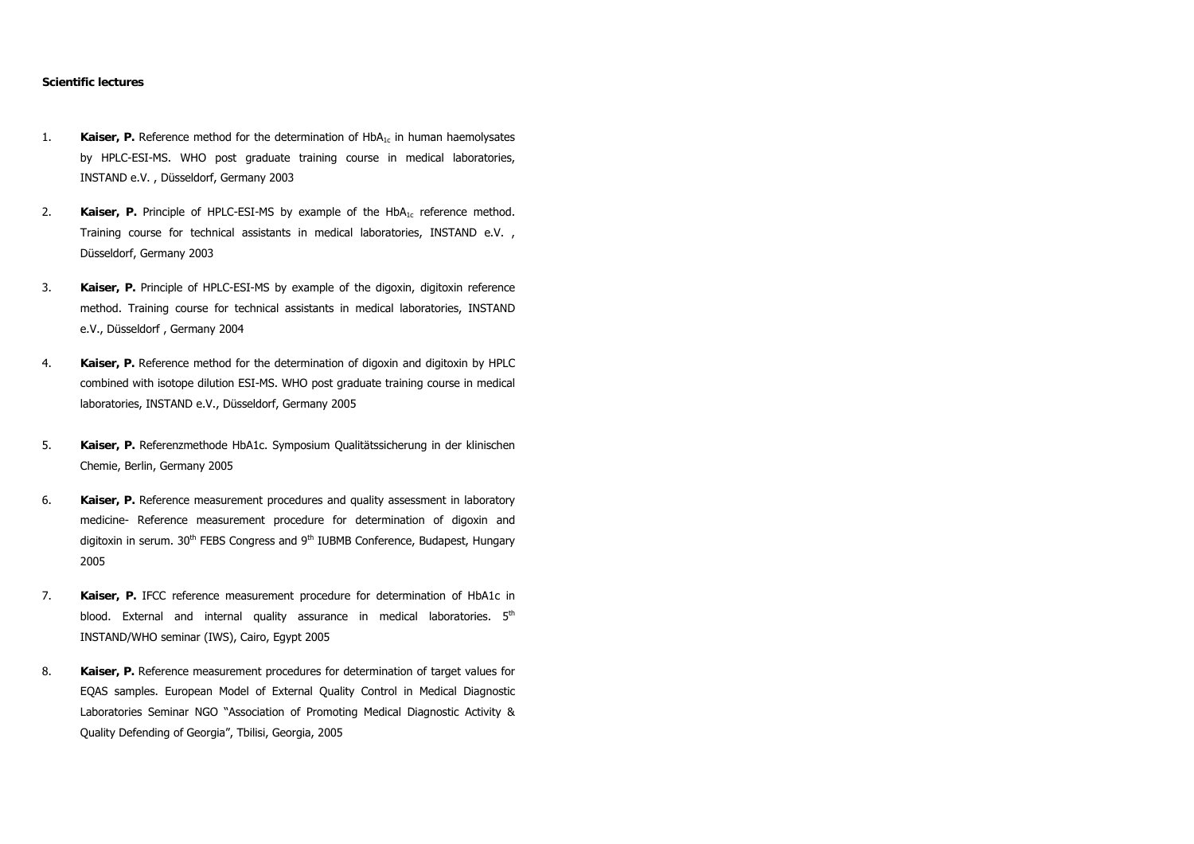# **Scientific lectures**

- 1. **Kaiser, P.** Reference method for the determination of  $HbA<sub>1c</sub>$  in human haemolysates by HPLC-ESI-MS. WHO post graduate training course in medical laboratories, INSTAND e.V. , Düsseldorf, Germany 2003
- 2. **Kaiser, P.** Principle of HPLC-ESI-MS by example of the HbA<sub>1c</sub> reference method. Training course for technical assistants in medical laboratories, INSTAND e.V. , Düsseldorf, Germany 2003
- 3. **Kaiser, P.** Principle of HPLC-ESI-MS by example of the digoxin, digitoxin reference method. Training course for technical assistants in medical laboratories, INSTAND e.V., Düsseldorf , Germany 2004
- 4. **Kaiser, P.** Reference method for the determination of digoxin and digitoxin by HPLC combined with isotope dilution ESI-MS. WHO post graduate training course in medical laboratories, INSTAND e.V., Düsseldorf, Germany 2005
- 5. **Kaiser, P.** Referenzmethode HbA1c. Symposium Qualitätssicherung in der klinischen Chemie, Berlin, Germany 2005
- 6. **Kaiser, P.** Reference measurement procedures and quality assessment in laboratory medicine- Reference measurement procedure for determination of digoxin and digitoxin in serum. 30<sup>th</sup> FEBS Congress and 9<sup>th</sup> IUBMB Conference, Budapest, Hungary 2005
- 7. **Kaiser, P.** IFCC reference measurement procedure for determination of HbA1c in blood. External and internal quality assurance in medical laboratories. 5<sup>th</sup> INSTAND/WHO seminar (IWS), Cairo, Egypt 2005
- 8. **Kaiser, P.** Reference measurement procedures for determination of target values for EQAS samples. European Model of External Quality Control in Medical Diagnostic Laboratories Seminar NGO "Association of Promoting Medical Diagnostic Activity & Quality Defending of Georgia", Tbilisi, Georgia, 2005